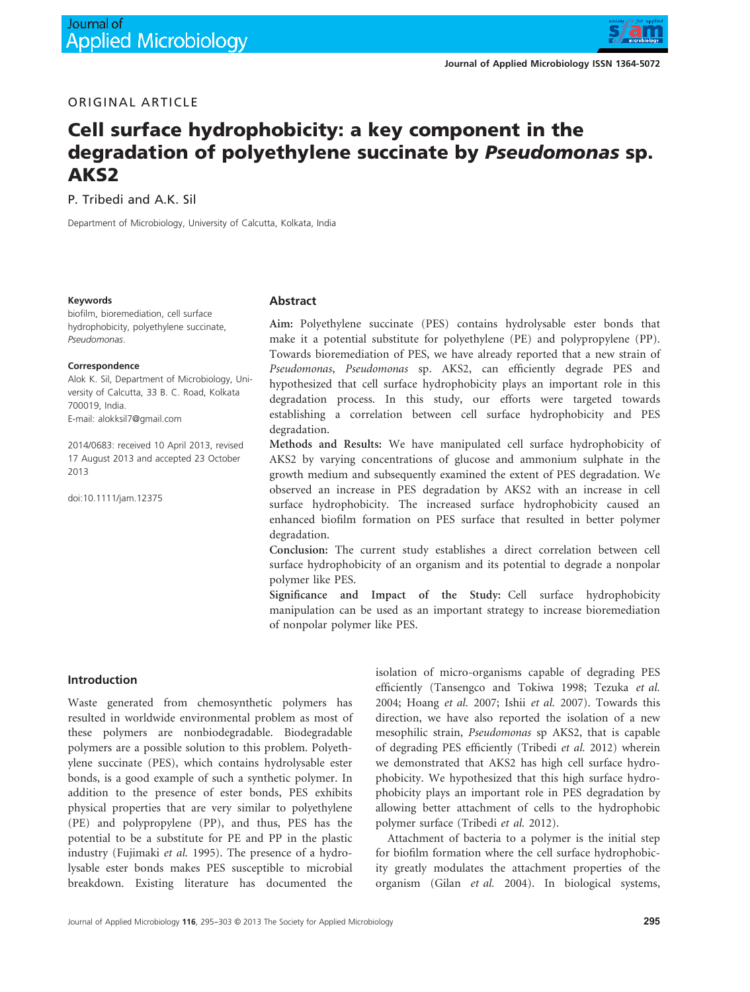

## ORIGINAL ARTICLE

# Cell surface hydrophobicity: a key component in the degradation of polyethylene succinate by Pseudomonas sp. AKS2

P. Tribedi and A.K. Sil

Department of Microbiology, University of Calcutta, Kolkata, India

#### Keywords

biofilm, bioremediation, cell surface hydrophobicity, polyethylene succinate, Pseudomonas.

#### Correspondence

Alok K. Sil, Department of Microbiology, University of Calcutta, 33 B. C. Road, Kolkata 700019, India. E-mail: alokksil7@gmail.com

2014/0683: received 10 April 2013, revised 17 August 2013 and accepted 23 October 2013

doi:10.1111/jam.12375

#### Abstract

Aim: Polyethylene succinate (PES) contains hydrolysable ester bonds that make it a potential substitute for polyethylene (PE) and polypropylene (PP). Towards bioremediation of PES, we have already reported that a new strain of *Pseudomonas*, *Pseudomonas* sp. AKS2, can efficiently degrade PES and hypothesized that cell surface hydrophobicity plays an important role in this degradation process. In this study, our efforts were targeted towards establishing a correlation between cell surface hydrophobicity and PES degradation.

Methods and Results: We have manipulated cell surface hydrophobicity of AKS2 by varying concentrations of glucose and ammonium sulphate in the growth medium and subsequently examined the extent of PES degradation. We observed an increase in PES degradation by AKS2 with an increase in cell surface hydrophobicity. The increased surface hydrophobicity caused an enhanced biofilm formation on PES surface that resulted in better polymer degradation.

Conclusion: The current study establishes a direct correlation between cell surface hydrophobicity of an organism and its potential to degrade a nonpolar polymer like PES.

Significance and Impact of the Study: Cell surface hydrophobicity manipulation can be used as an important strategy to increase bioremediation of nonpolar polymer like PES.

## Introduction

Waste generated from chemosynthetic polymers has resulted in worldwide environmental problem as most of these polymers are nonbiodegradable. Biodegradable polymers are a possible solution to this problem. Polyethylene succinate (PES), which contains hydrolysable ester bonds, is a good example of such a synthetic polymer. In addition to the presence of ester bonds, PES exhibits physical properties that are very similar to polyethylene (PE) and polypropylene (PP), and thus, PES has the potential to be a substitute for PE and PP in the plastic industry (Fujimaki *et al.* 1995). The presence of a hydrolysable ester bonds makes PES susceptible to microbial breakdown. Existing literature has documented the

isolation of micro-organisms capable of degrading PES efficiently (Tansengco and Tokiwa 1998; Tezuka *et al.* 2004; Hoang *et al.* 2007; Ishii *et al.* 2007). Towards this direction, we have also reported the isolation of a new mesophilic strain, *Pseudomonas* sp AKS2, that is capable of degrading PES efficiently (Tribedi *et al.* 2012) wherein we demonstrated that AKS2 has high cell surface hydrophobicity. We hypothesized that this high surface hydrophobicity plays an important role in PES degradation by allowing better attachment of cells to the hydrophobic polymer surface (Tribedi *et al.* 2012).

Attachment of bacteria to a polymer is the initial step for biofilm formation where the cell surface hydrophobicity greatly modulates the attachment properties of the organism (Gilan *et al.* 2004). In biological systems,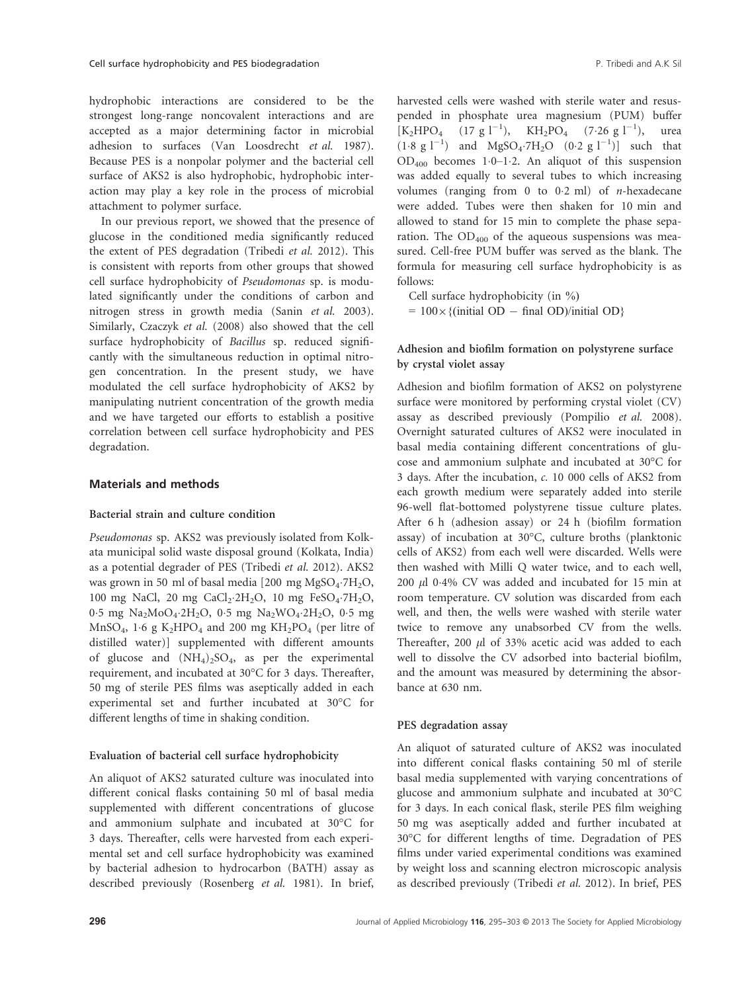hydrophobic interactions are considered to be the strongest long-range noncovalent interactions and are accepted as a major determining factor in microbial adhesion to surfaces (Van Loosdrecht *et al.* 1987). Because PES is a nonpolar polymer and the bacterial cell surface of AKS2 is also hydrophobic, hydrophobic interaction may play a key role in the process of microbial attachment to polymer surface.

In our previous report, we showed that the presence of glucose in the conditioned media significantly reduced the extent of PES degradation (Tribedi *et al.* 2012). This is consistent with reports from other groups that showed cell surface hydrophobicity of *Pseudomonas* sp. is modulated significantly under the conditions of carbon and nitrogen stress in growth media (Sanin *et al.* 2003). Similarly, Czaczyk *et al.* (2008) also showed that the cell surface hydrophobicity of *Bacillus* sp. reduced significantly with the simultaneous reduction in optimal nitrogen concentration. In the present study, we have modulated the cell surface hydrophobicity of AKS2 by manipulating nutrient concentration of the growth media and we have targeted our efforts to establish a positive correlation between cell surface hydrophobicity and PES degradation.

#### Materials and methods

#### Bacterial strain and culture condition

*Pseudomonas* sp. AKS2 was previously isolated from Kolkata municipal solid waste disposal ground (Kolkata, India) as a potential degrader of PES (Tribedi *et al.* 2012). AKS2 was grown in 50 ml of basal media [200 mg  $MgSO_4$ ·7 $H_2O$ , 100 mg NaCl, 20 mg CaCl<sub>2</sub>·2H<sub>2</sub>O, 10 mg FeSO<sub>4</sub>·7H<sub>2</sub>O, 0.5 mg Na<sub>2</sub>MoO<sub>4</sub>.2H<sub>2</sub>O, 0.5 mg Na<sub>2</sub>WO<sub>4</sub>.2H<sub>2</sub>O, 0.5 mg MnSO<sub>4</sub>, 1.6 g K<sub>2</sub>HPO<sub>4</sub> and 200 mg KH<sub>2</sub>PO<sub>4</sub> (per litre of distilled water)] supplemented with different amounts of glucose and  $(NH_4)_2SO_4$ , as per the experimental requirement, and incubated at 30°C for 3 days. Thereafter, 50 mg of sterile PES films was aseptically added in each experimental set and further incubated at 30°C for different lengths of time in shaking condition.

#### Evaluation of bacterial cell surface hydrophobicity

An aliquot of AKS2 saturated culture was inoculated into different conical flasks containing 50 ml of basal media supplemented with different concentrations of glucose and ammonium sulphate and incubated at 30°C for 3 days. Thereafter, cells were harvested from each experimental set and cell surface hydrophobicity was examined by bacterial adhesion to hydrocarbon (BATH) assay as described previously (Rosenberg *et al.* 1981). In brief, harvested cells were washed with sterile water and resuspended in phosphate urea magnesium (PUM) buffer  $[K_2HPO_4$  (17 g l<sup>-1</sup>), KH<sub>2</sub>PO<sub>4</sub> (7.26 g l<sup>-1</sup>), urea  $(1.8 \text{ g } l^{-1})$  and  $MgSO_4$  7H<sub>2</sub>O  $(0.2 \text{ g } l^{-1})$  such that  $OD_{400}$  becomes 1.0–1.2. An aliquot of this suspension was added equally to several tubes to which increasing volumes (ranging from 0 to 02 ml) of *n*-hexadecane were added. Tubes were then shaken for 10 min and allowed to stand for 15 min to complete the phase separation. The  $OD_{400}$  of the aqueous suspensions was measured. Cell-free PUM buffer was served as the blank. The formula for measuring cell surface hydrophobicity is as follows:

Cell surface hydrophobicity (in %)

 $= 100 \times \{$ (initial OD  $-$  final OD)/initial OD}

## Adhesion and biofilm formation on polystyrene surface by crystal violet assay

Adhesion and biofilm formation of AKS2 on polystyrene surface were monitored by performing crystal violet (CV) assay as described previously (Pompilio *et al.* 2008). Overnight saturated cultures of AKS2 were inoculated in basal media containing different concentrations of glucose and ammonium sulphate and incubated at 30°C for 3 days. After the incubation, *c.* 10 000 cells of AKS2 from each growth medium were separately added into sterile 96-well flat-bottomed polystyrene tissue culture plates. After 6 h (adhesion assay) or 24 h (biofilm formation assay) of incubation at 30°C, culture broths (planktonic cells of AKS2) from each well were discarded. Wells were then washed with Milli Q water twice, and to each well,  $200 \mu$ l 0.4% CV was added and incubated for 15 min at room temperature. CV solution was discarded from each well, and then, the wells were washed with sterile water twice to remove any unabsorbed CV from the wells. Thereafter, 200  $\mu$ l of 33% acetic acid was added to each well to dissolve the CV adsorbed into bacterial biofilm, and the amount was measured by determining the absorbance at 630 nm.

### PES degradation assay

An aliquot of saturated culture of AKS2 was inoculated into different conical flasks containing 50 ml of sterile basal media supplemented with varying concentrations of glucose and ammonium sulphate and incubated at 30°C for 3 days. In each conical flask, sterile PES film weighing 50 mg was aseptically added and further incubated at 30°C for different lengths of time. Degradation of PES films under varied experimental conditions was examined by weight loss and scanning electron microscopic analysis as described previously (Tribedi *et al.* 2012). In brief, PES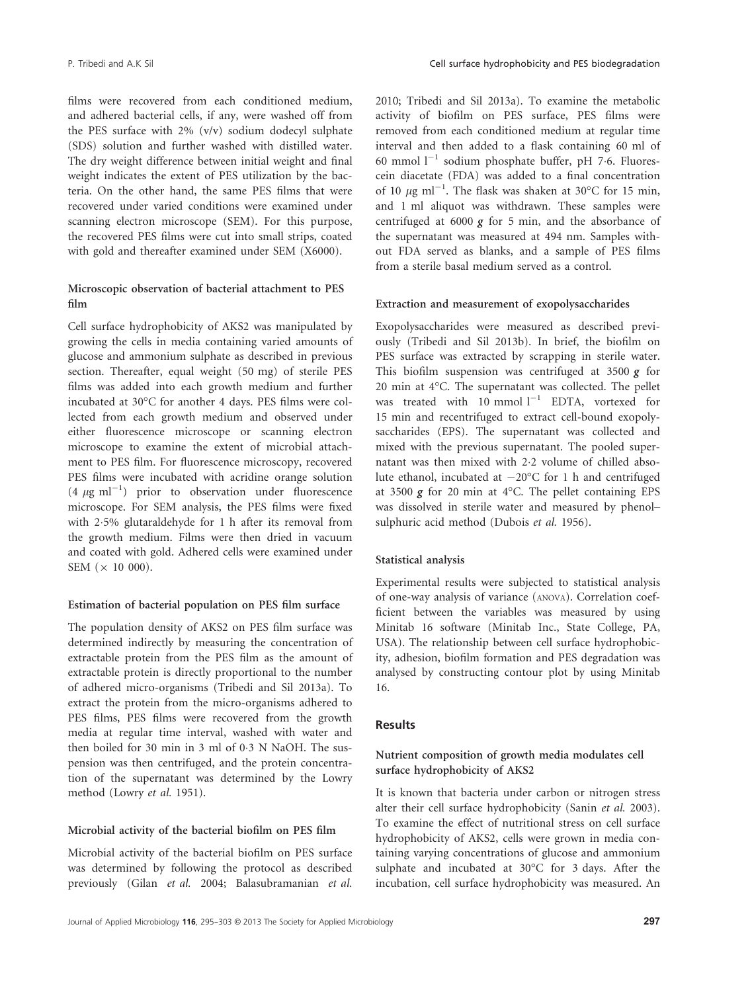films were recovered from each conditioned medium, and adhered bacterial cells, if any, were washed off from the PES surface with 2% (v/v) sodium dodecyl sulphate (SDS) solution and further washed with distilled water. The dry weight difference between initial weight and final weight indicates the extent of PES utilization by the bacteria. On the other hand, the same PES films that were recovered under varied conditions were examined under scanning electron microscope (SEM). For this purpose, the recovered PES films were cut into small strips, coated with gold and thereafter examined under SEM (X6000).

## Microscopic observation of bacterial attachment to PES film

Cell surface hydrophobicity of AKS2 was manipulated by growing the cells in media containing varied amounts of glucose and ammonium sulphate as described in previous section. Thereafter, equal weight (50 mg) of sterile PES films was added into each growth medium and further incubated at 30°C for another 4 days. PES films were collected from each growth medium and observed under either fluorescence microscope or scanning electron microscope to examine the extent of microbial attachment to PES film. For fluorescence microscopy, recovered PES films were incubated with acridine orange solution  $(4 \mu g \text{ ml}^{-1})$  prior to observation under fluorescence microscope. For SEM analysis, the PES films were fixed with 25% glutaraldehyde for 1 h after its removal from the growth medium. Films were then dried in vacuum and coated with gold. Adhered cells were examined under SEM  $(x 10 000)$ .

#### Estimation of bacterial population on PES film surface

The population density of AKS2 on PES film surface was determined indirectly by measuring the concentration of extractable protein from the PES film as the amount of extractable protein is directly proportional to the number of adhered micro-organisms (Tribedi and Sil 2013a). To extract the protein from the micro-organisms adhered to PES films, PES films were recovered from the growth media at regular time interval, washed with water and then boiled for 30 min in 3 ml of 03 N NaOH. The suspension was then centrifuged, and the protein concentration of the supernatant was determined by the Lowry method (Lowry *et al.* 1951).

#### Microbial activity of the bacterial biofilm on PES film

Microbial activity of the bacterial biofilm on PES surface was determined by following the protocol as described previously (Gilan *et al.* 2004; Balasubramanian *et al.*

2010; Tribedi and Sil 2013a). To examine the metabolic activity of biofilm on PES surface, PES films were removed from each conditioned medium at regular time interval and then added to a flask containing 60 ml of 60 mmol  $l^{-1}$  sodium phosphate buffer, pH 7.6. Fluorescein diacetate (FDA) was added to a final concentration of 10  $\mu$ g ml<sup>-1</sup>. The flask was shaken at 30°C for 15 min, and 1 ml aliquot was withdrawn. These samples were centrifuged at  $6000 \times$  for 5 min, and the absorbance of the supernatant was measured at 494 nm. Samples without FDA served as blanks, and a sample of PES films from a sterile basal medium served as a control.

### Extraction and measurement of exopolysaccharides

Exopolysaccharides were measured as described previously (Tribedi and Sil 2013b). In brief, the biofilm on PES surface was extracted by scrapping in sterile water. This biofilm suspension was centrifuged at 3500  $g$  for 20 min at 4°C. The supernatant was collected. The pellet was treated with  $10 \text{ mmol } l^{-1}$  EDTA, vortexed for 15 min and recentrifuged to extract cell-bound exopolysaccharides (EPS). The supernatant was collected and mixed with the previous supernatant. The pooled supernatant was then mixed with 22 volume of chilled absolute ethanol, incubated at  $-20^{\circ}$ C for 1 h and centrifuged at 3500  $g$  for 20 min at 4 $^{\circ}$ C. The pellet containing EPS was dissolved in sterile water and measured by phenol– sulphuric acid method (Dubois *et al.* 1956).

## Statistical analysis

Experimental results were subjected to statistical analysis of one-way analysis of variance (ANOVA). Correlation coefficient between the variables was measured by using Minitab 16 software (Minitab Inc., State College, PA, USA). The relationship between cell surface hydrophobicity, adhesion, biofilm formation and PES degradation was analysed by constructing contour plot by using Minitab 16.

## Results

## Nutrient composition of growth media modulates cell surface hydrophobicity of AKS2

It is known that bacteria under carbon or nitrogen stress alter their cell surface hydrophobicity (Sanin *et al.* 2003). To examine the effect of nutritional stress on cell surface hydrophobicity of AKS2, cells were grown in media containing varying concentrations of glucose and ammonium sulphate and incubated at 30°C for 3 days. After the incubation, cell surface hydrophobicity was measured. An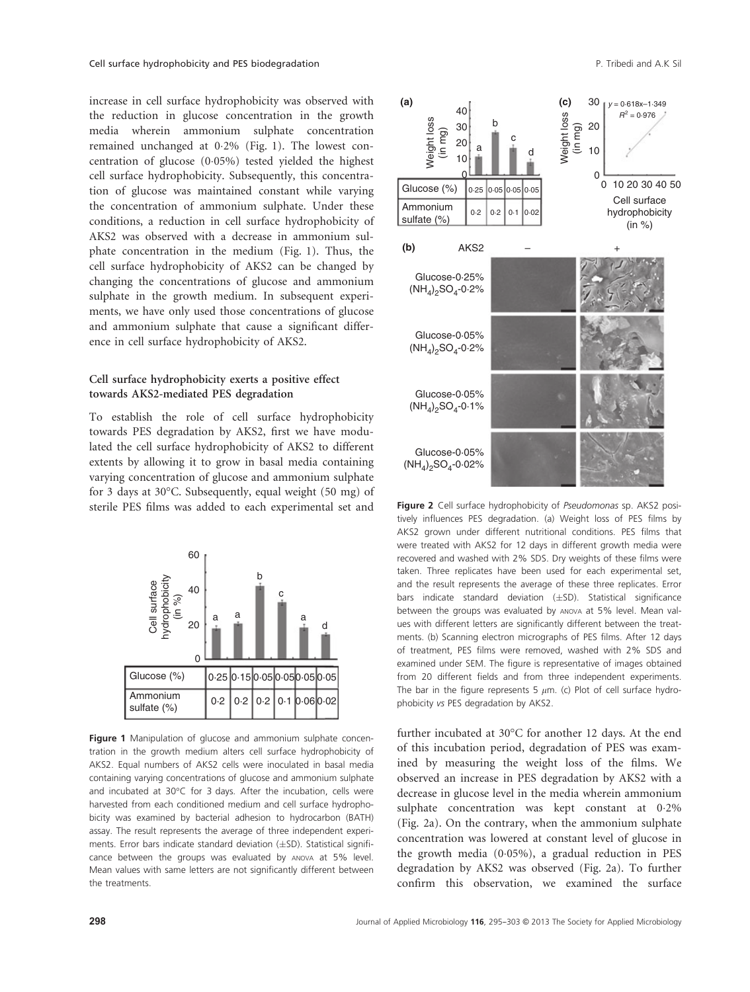increase in cell surface hydrophobicity was observed with the reduction in glucose concentration in the growth media wherein ammonium sulphate concentration remained unchanged at 02% (Fig. 1). The lowest concentration of glucose  $(0.05%)$  tested yielded the highest cell surface hydrophobicity. Subsequently, this concentration of glucose was maintained constant while varying the concentration of ammonium sulphate. Under these conditions, a reduction in cell surface hydrophobicity of AKS2 was observed with a decrease in ammonium sulphate concentration in the medium (Fig. 1). Thus, the cell surface hydrophobicity of AKS2 can be changed by changing the concentrations of glucose and ammonium sulphate in the growth medium. In subsequent experiments, we have only used those concentrations of glucose and ammonium sulphate that cause a significant difference in cell surface hydrophobicity of AKS2.

## Cell surface hydrophobicity exerts a positive effect towards AKS2-mediated PES degradation

To establish the role of cell surface hydrophobicity towards PES degradation by AKS2, first we have modulated the cell surface hydrophobicity of AKS2 to different extents by allowing it to grow in basal media containing varying concentration of glucose and ammonium sulphate for 3 days at 30°C. Subsequently, equal weight (50 mg) of sterile PES films was added to each experimental set and



Figure 1 Manipulation of glucose and ammonium sulphate concentration in the growth medium alters cell surface hydrophobicity of AKS2. Equal numbers of AKS2 cells were inoculated in basal media containing varying concentrations of glucose and ammonium sulphate and incubated at 30°C for 3 days. After the incubation, cells were harvested from each conditioned medium and cell surface hydrophobicity was examined by bacterial adhesion to hydrocarbon (BATH) assay. The result represents the average of three independent experiments. Error bars indicate standard deviation  $(\pm SD)$ . Statistical significance between the groups was evaluated by ANOVA at 5% level. Mean values with same letters are not significantly different between the treatments.



Figure 2 Cell surface hydrophobicity of Pseudomonas sp. AKS2 positively influences PES degradation. (a) Weight loss of PES films by AKS2 grown under different nutritional conditions. PES films that were treated with AKS2 for 12 days in different growth media were recovered and washed with 2% SDS. Dry weights of these films were taken. Three replicates have been used for each experimental set, and the result represents the average of these three replicates. Error bars indicate standard deviation  $(\pm SD)$ . Statistical significance between the groups was evaluated by ANOVA at 5% level. Mean values with different letters are significantly different between the treatments. (b) Scanning electron micrographs of PES films. After 12 days of treatment, PES films were removed, washed with 2% SDS and examined under SEM. The figure is representative of images obtained from 20 different fields and from three independent experiments. The bar in the figure represents 5  $\mu$ m. (c) Plot of cell surface hydrophobicity vs PES degradation by AKS2.

further incubated at 30°C for another 12 days. At the end of this incubation period, degradation of PES was examined by measuring the weight loss of the films. We observed an increase in PES degradation by AKS2 with a decrease in glucose level in the media wherein ammonium sulphate concentration was kept constant at 02% (Fig. 2a). On the contrary, when the ammonium sulphate concentration was lowered at constant level of glucose in the growth media  $(0.05\%)$ , a gradual reduction in PES degradation by AKS2 was observed (Fig. 2a). To further confirm this observation, we examined the surface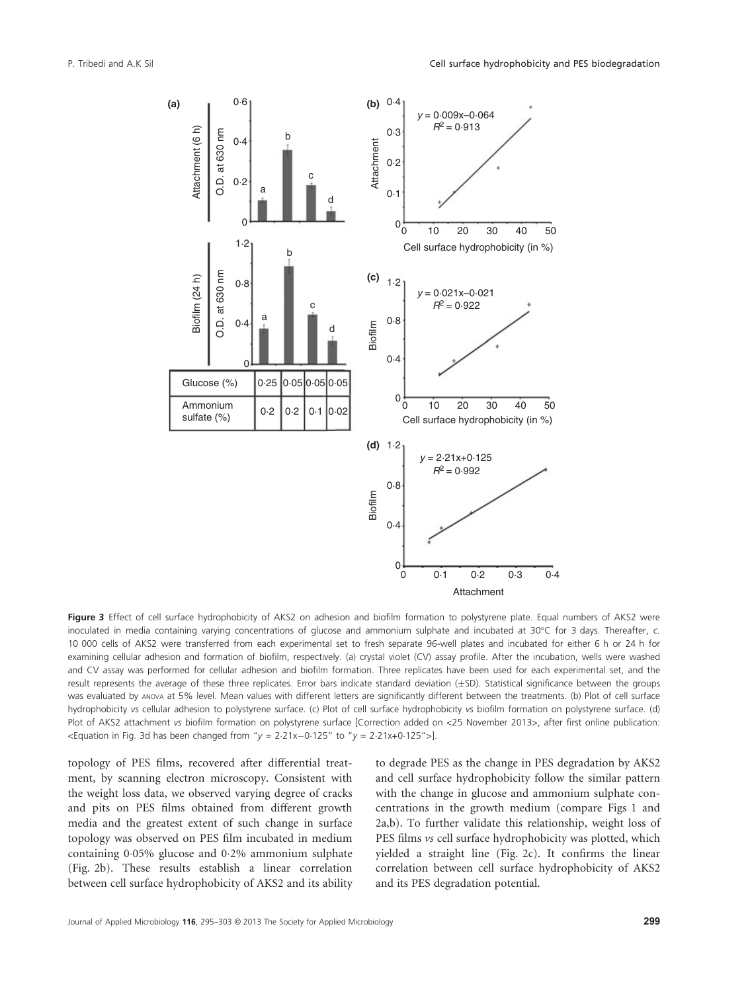

Figure 3 Effect of cell surface hydrophobicity of AKS2 on adhesion and biofilm formation to polystyrene plate. Equal numbers of AKS2 were inoculated in media containing varying concentrations of glucose and ammonium sulphate and incubated at 30°C for 3 days. Thereafter, c. 10 000 cells of AKS2 were transferred from each experimental set to fresh separate 96-well plates and incubated for either 6 h or 24 h for examining cellular adhesion and formation of biofilm, respectively. (a) crystal violet (CV) assay profile. After the incubation, wells were washed and CV assay was performed for cellular adhesion and biofilm formation. Three replicates have been used for each experimental set, and the result represents the average of these three replicates. Error bars indicate standard deviation (±SD). Statistical significance between the groups Was evaluated by ANOVA at 5% level. Mean values with different letters are significantly different between the treatments. (b) Plot of cell surface hydrophobicity vs cellular adhesion to polystyrene surface. (c) Plot of cell surface hydrophobicity vs biofilm formation on polystyrene surface. (d) Plot of AKS2 attachment vs biofilm formation on polystyrene surface [Correction added on <25 November 2013>, after first online publication:  $\epsilon$  -Equation in Fig. 3d has been changed from "y = 2.21x-0.125" to "y = 2.21x+0.125">].

topology of PES films, recovered after differential treatment, by scanning electron microscopy. Consistent with the weight loss data, we observed varying degree of cracks and pits on PES films obtained from different growth media and the greatest extent of such change in surface topology was observed on PES film incubated in medium containing  $0.05\%$  glucose and  $0.2\%$  ammonium sulphate (Fig. 2b). These results establish a linear correlation between cell surface hydrophobicity of AKS2 and its ability to degrade PES as the change in PES degradation by AKS2 and cell surface hydrophobicity follow the similar pattern with the change in glucose and ammonium sulphate concentrations in the growth medium (compare Figs 1 and 2a,b). To further validate this relationship, weight loss of PES films *vs* cell surface hydrophobicity was plotted, which yielded a straight line (Fig. 2c). It confirms the linear correlation between cell surface hydrophobicity of AKS2 and its PES degradation potential.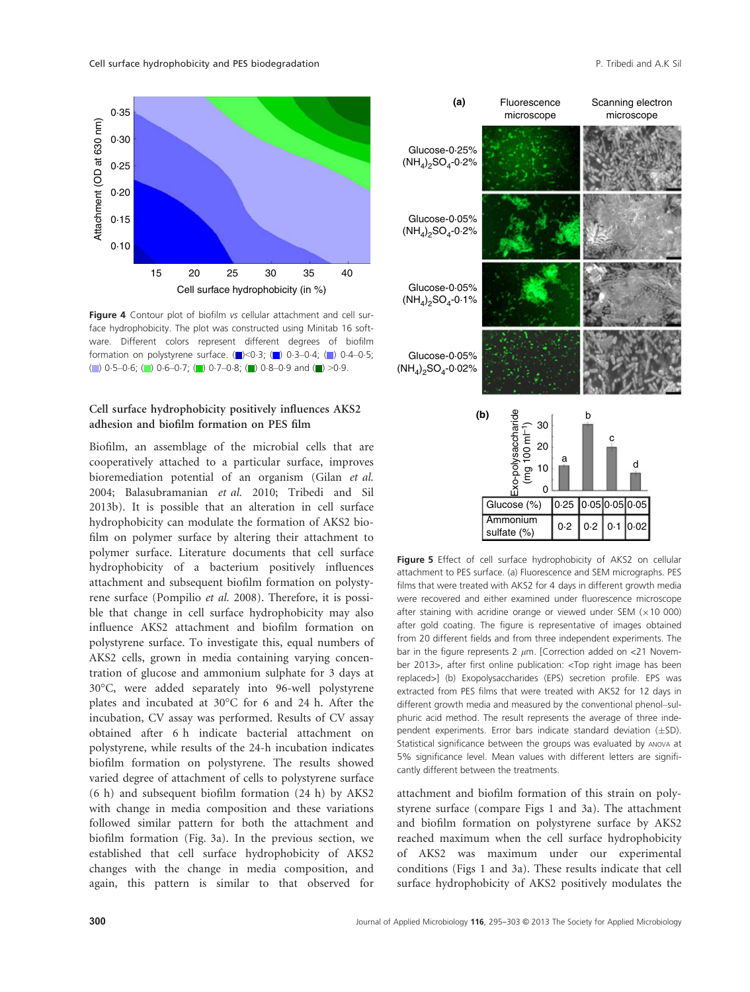

Figure 4 Contour plot of biofilm vs cellular attachment and cell surface hydrophobicity. The plot was constructed using Minitab 16 software. Different colors represent different degrees of biofilm formation on polystyrene surface.  $\Box$  <0.3;  $\Box$  0.3-0.4;  $\Box$  0.4-0.5; ( ) 0.5–0.6; ( ) 0.6–0.7; ( ) 0.7–0.8; ( ) 0.8–0.9 and ( ) >0.9.

## Cell surface hydrophobicity positively influences AKS2 adhesion and biofilm formation on PES film

Biofilm, an assemblage of the microbial cells that are cooperatively attached to a particular surface, improves bioremediation potential of an organism (Gilan *et al.* 2004; Balasubramanian *et al.* 2010; Tribedi and Sil 2013b). It is possible that an alteration in cell surface hydrophobicity can modulate the formation of AKS2 biofilm on polymer surface by altering their attachment to polymer surface. Literature documents that cell surface hydrophobicity of a bacterium positively influences attachment and subsequent biofilm formation on polystyrene surface (Pompilio *et al.* 2008). Therefore, it is possible that change in cell surface hydrophobicity may also influence AKS2 attachment and biofilm formation on polystyrene surface. To investigate this, equal numbers of AKS2 cells, grown in media containing varying concentration of glucose and ammonium sulphate for 3 days at 30°C, were added separately into 96-well polystyrene plates and incubated at 30°C for 6 and 24 h. After the incubation, CV assay was performed. Results of CV assay obtained after 6 h indicate bacterial attachment on polystyrene, while results of the 24-h incubation indicates biofilm formation on polystyrene. The results showed varied degree of attachment of cells to polystyrene surface (6 h) and subsequent biofilm formation (24 h) by AKS2 with change in media composition and these variations followed similar pattern for both the attachment and biofilm formation (Fig. 3a). In the previous section, we established that cell surface hydrophobicity of AKS2 changes with the change in media composition, and again, this pattern is similar to that observed for



Figure 5 Effect of cell surface hydrophobicity of AKS2 on cellular attachment to PES surface. (a) Fluorescence and SEM micrographs. PES films that were treated with AKS2 for 4 days in different growth media were recovered and either examined under fluorescence microscope after staining with acridine orange or viewed under SEM  $(x10 000)$ after gold coating. The figure is representative of images obtained from 20 different fields and from three independent experiments. The bar in the figure represents 2  $\mu$ m. [Correction added on <21 November 2013>, after first online publication: <Top right image has been replaced>] (b) Exopolysaccharides (EPS) secretion profile. EPS was extracted from PES films that were treated with AKS2 for 12 days in different growth media and measured by the conventional phenol–sulphuric acid method. The result represents the average of three independent experiments. Error bars indicate standard deviation  $(\pm SD)$ . Statistical significance between the groups was evaluated by ANOVA at 5% significance level. Mean values with different letters are significantly different between the treatments.

attachment and biofilm formation of this strain on polystyrene surface (compare Figs 1 and 3a). The attachment and biofilm formation on polystyrene surface by AKS2 reached maximum when the cell surface hydrophobicity of AKS2 was maximum under our experimental conditions (Figs 1 and 3a). These results indicate that cell surface hydrophobicity of AKS2 positively modulates the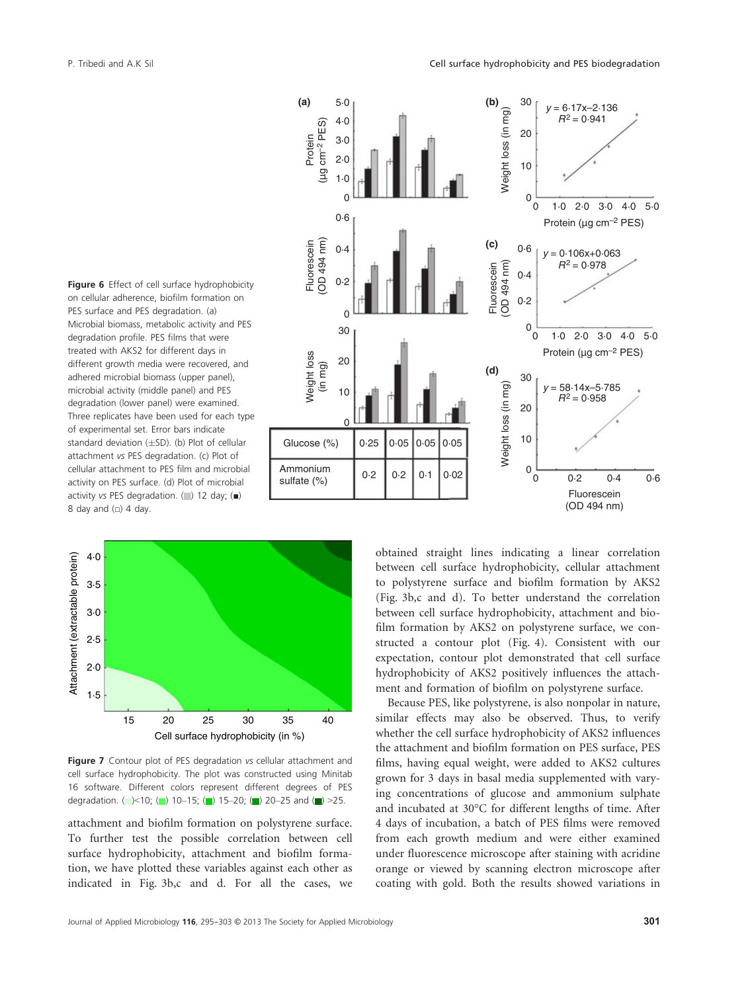





Figure 7 Contour plot of PES degradation vs cellular attachment and cell surface hydrophobicity. The plot was constructed using Minitab 16 software. Different colors represent different degrees of PES degradation. (  $\leq 10$ ; ( ) 10–15; ( ) 15–20; ( ) 20–25 and ( ) >25.

attachment and biofilm formation on polystyrene surface. To further test the possible correlation between cell surface hydrophobicity, attachment and biofilm formation, we have plotted these variables against each other as indicated in Fig. 3b,c and d. For all the cases, we obtained straight lines indicating a linear correlation between cell surface hydrophobicity, cellular attachment to polystyrene surface and biofilm formation by AKS2 (Fig. 3b,c and d). To better understand the correlation between cell surface hydrophobicity, attachment and biofilm formation by AKS2 on polystyrene surface, we constructed a contour plot (Fig. 4). Consistent with our expectation, contour plot demonstrated that cell surface hydrophobicity of AKS2 positively influences the attachment and formation of biofilm on polystyrene surface.

Because PES, like polystyrene, is also nonpolar in nature, similar effects may also be observed. Thus, to verify whether the cell surface hydrophobicity of AKS2 influences the attachment and biofilm formation on PES surface, PES films, having equal weight, were added to AKS2 cultures grown for 3 days in basal media supplemented with varying concentrations of glucose and ammonium sulphate and incubated at 30°C for different lengths of time. After 4 days of incubation, a batch of PES films were removed from each growth medium and were either examined under fluorescence microscope after staining with acridine orange or viewed by scanning electron microscope after coating with gold. Both the results showed variations in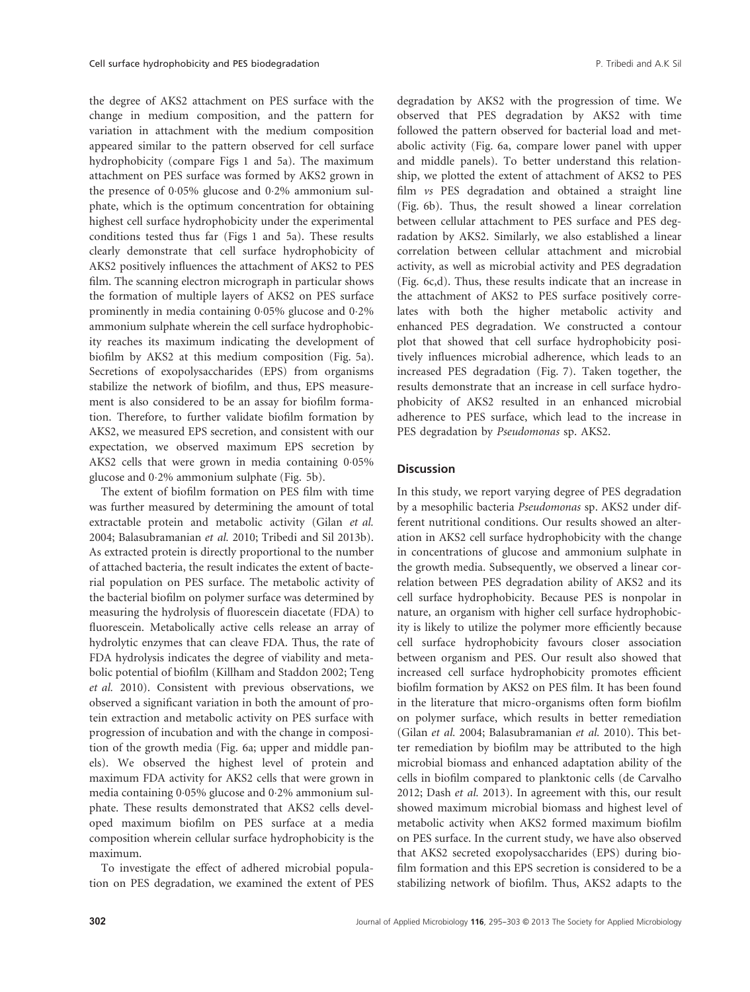the degree of AKS2 attachment on PES surface with the change in medium composition, and the pattern for variation in attachment with the medium composition appeared similar to the pattern observed for cell surface hydrophobicity (compare Figs 1 and 5a). The maximum attachment on PES surface was formed by AKS2 grown in the presence of  $0.05\%$  glucose and  $0.2\%$  ammonium sulphate, which is the optimum concentration for obtaining highest cell surface hydrophobicity under the experimental conditions tested thus far (Figs 1 and 5a). These results clearly demonstrate that cell surface hydrophobicity of AKS2 positively influences the attachment of AKS2 to PES film. The scanning electron micrograph in particular shows the formation of multiple layers of AKS2 on PES surface prominently in media containing 0.05% glucose and 0.2% ammonium sulphate wherein the cell surface hydrophobicity reaches its maximum indicating the development of biofilm by AKS2 at this medium composition (Fig. 5a). Secretions of exopolysaccharides (EPS) from organisms stabilize the network of biofilm, and thus, EPS measurement is also considered to be an assay for biofilm formation. Therefore, to further validate biofilm formation by AKS2, we measured EPS secretion, and consistent with our expectation, we observed maximum EPS secretion by AKS2 cells that were grown in media containing  $0.05\%$ glucose and 02% ammonium sulphate (Fig. 5b).

The extent of biofilm formation on PES film with time was further measured by determining the amount of total extractable protein and metabolic activity (Gilan *et al.* 2004; Balasubramanian *et al.* 2010; Tribedi and Sil 2013b). As extracted protein is directly proportional to the number of attached bacteria, the result indicates the extent of bacterial population on PES surface. The metabolic activity of the bacterial biofilm on polymer surface was determined by measuring the hydrolysis of fluorescein diacetate (FDA) to fluorescein. Metabolically active cells release an array of hydrolytic enzymes that can cleave FDA. Thus, the rate of FDA hydrolysis indicates the degree of viability and metabolic potential of biofilm (Killham and Staddon 2002; Teng *et al.* 2010). Consistent with previous observations, we observed a significant variation in both the amount of protein extraction and metabolic activity on PES surface with progression of incubation and with the change in composition of the growth media (Fig. 6a; upper and middle panels). We observed the highest level of protein and maximum FDA activity for AKS2 cells that were grown in media containing 0.05% glucose and 0.2% ammonium sulphate. These results demonstrated that AKS2 cells developed maximum biofilm on PES surface at a media composition wherein cellular surface hydrophobicity is the maximum.

To investigate the effect of adhered microbial population on PES degradation, we examined the extent of PES degradation by AKS2 with the progression of time. We observed that PES degradation by AKS2 with time followed the pattern observed for bacterial load and metabolic activity (Fig. 6a, compare lower panel with upper and middle panels). To better understand this relationship, we plotted the extent of attachment of AKS2 to PES film *vs* PES degradation and obtained a straight line (Fig. 6b). Thus, the result showed a linear correlation between cellular attachment to PES surface and PES degradation by AKS2. Similarly, we also established a linear correlation between cellular attachment and microbial activity, as well as microbial activity and PES degradation (Fig. 6c,d). Thus, these results indicate that an increase in the attachment of AKS2 to PES surface positively correlates with both the higher metabolic activity and enhanced PES degradation. We constructed a contour plot that showed that cell surface hydrophobicity positively influences microbial adherence, which leads to an increased PES degradation (Fig. 7). Taken together, the results demonstrate that an increase in cell surface hydrophobicity of AKS2 resulted in an enhanced microbial adherence to PES surface, which lead to the increase in PES degradation by *Pseudomonas* sp. AKS2.

#### **Discussion**

In this study, we report varying degree of PES degradation by a mesophilic bacteria *Pseudomonas* sp. AKS2 under different nutritional conditions. Our results showed an alteration in AKS2 cell surface hydrophobicity with the change in concentrations of glucose and ammonium sulphate in the growth media. Subsequently, we observed a linear correlation between PES degradation ability of AKS2 and its cell surface hydrophobicity. Because PES is nonpolar in nature, an organism with higher cell surface hydrophobicity is likely to utilize the polymer more efficiently because cell surface hydrophobicity favours closer association between organism and PES. Our result also showed that increased cell surface hydrophobicity promotes efficient biofilm formation by AKS2 on PES film. It has been found in the literature that micro-organisms often form biofilm on polymer surface, which results in better remediation (Gilan *et al.* 2004; Balasubramanian *et al.* 2010). This better remediation by biofilm may be attributed to the high microbial biomass and enhanced adaptation ability of the cells in biofilm compared to planktonic cells (de Carvalho 2012; Dash *et al.* 2013). In agreement with this, our result showed maximum microbial biomass and highest level of metabolic activity when AKS2 formed maximum biofilm on PES surface. In the current study, we have also observed that AKS2 secreted exopolysaccharides (EPS) during biofilm formation and this EPS secretion is considered to be a stabilizing network of biofilm. Thus, AKS2 adapts to the